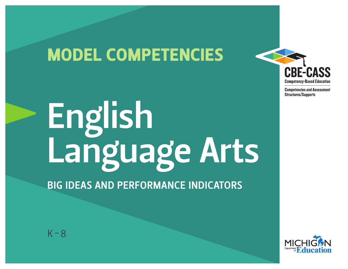# MODEL COMPETENCIES



BIG IDEAS AND PERFORMANCE INDICATORS

 $K-8$ 



**CBE-CASS** 

**Competency-Based Education Competencies and Assessment** 

**Structures/Supports**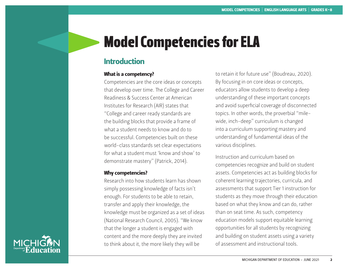## Model Competencies for ELA

### Introduction

#### What is a competency?

Competencies are the core ideas or concepts that develop over time. The College and Career Readiness & Success Center at American Institutes for Research (AIR) states that "College and career ready standards are the building blocks that provide a frame of what a student needs to know and do to be successful. Competencies built on these world-class standards set clear expectations for what a student must 'know and show' to demonstrate mastery" (Patrick, 2014).

#### Why competencies?

Research into how students learn has shown simply possessing knowledge of facts isn't enough. For students to be able to retain, transfer and apply their knowledge, the knowledge must be organized as a set of ideas (National Research Council, 2005). "We know that the longer a student is engaged with content and the more deeply they are invited to think about it, the more likely they will be

to retain it for future use" (Boudreau, 2020). By focusing in on core ideas or concepts, educators allow students to develop a deep understanding of these important concepts and avoid superficial coverage of disconnected topics. In other words, the proverbial "milewide, inch-deep" curriculum is changed into a curriculum supporting mastery and understanding of fundamental ideas of the various disciplines.

Instruction and curriculum based on competencies recognize and build on student assets. Competencies act as building blocks for coherent learning trajectories, curricula, and assessments that support Tier 1 instruction for students as they move through their education based on what they know and can do, rather than on seat time. As such, competency education models support equitable learning opportunities for all students by recognizing and building on student assets using a variety of assessment and instructional tools.

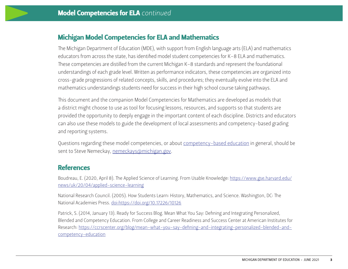#### Michigan Model Competencies for ELA and Mathematics

The Michigan Department of Education (MDE), with support from English language arts (ELA) and mathematics educators from across the state, has identified model student competencies for K–8 ELA and mathematics. These competencies are distilled from the current Michigan K–8 standards and represent the foundational understandings of each grade level. Written as performance indicators, these competencies are organized into cross-grade progressions of related concepts, skills, and procedures; they eventually evolve into the ELA and mathematics understandings students need for success in their high school course taking pathways.

This document and the companion Model Competencies for Mathematics are developed as models that a district might choose to use as tool for focusing lessons, resources, and supports so that students are provided the opportunity to deeply engage in the important content of each discipline. Districts and educators can also use these models to guide the development of local assessments and competency-based grading and reporting systems.

Questions regarding these model competencies, or about [competency-based education](https://www.michigan.gov/mde/0,4615,7-140-81351-322532--,00.html) in general, should be sent to Steve Nemeckay, [nemeckays@michigan.gov.](mailto:nemeckays%40michigan.gov?subject=)

#### **References**

Boudreau, E. (2020, April 8). The Applied Science of Learning. From Usable Knowledge: [https://www.gse.harvard.edu/](https://www.gse.harvard.edu/news/uk/20/04/applied-science-learning) [news/uk/20/04/applied-science-learning](https://www.gse.harvard.edu/news/uk/20/04/applied-science-learning)

National Research Council. (2005). How Students Learn: History, Mathematics, and Science. Washington, DC: The National Academies Press.<doi:https://doi.org/10.17226/10126>

Patrick, S. (2014, January 13). Ready for Success Blog. Mean What You Say: Defining and Integrating Personalized, Blended and Competency Education. From College and Career Readiness and Success Center at American Institutes for Research: [https://ccrscenter.org/blog/mean-what-you-say-defining-and-integrating-personalized-blended-and](https://ccrscenter.org/blog/mean-what-you-say-defining-and-integrating-personalized-blended-and-competency-education)[competency-education](https://ccrscenter.org/blog/mean-what-you-say-defining-and-integrating-personalized-blended-and-competency-education)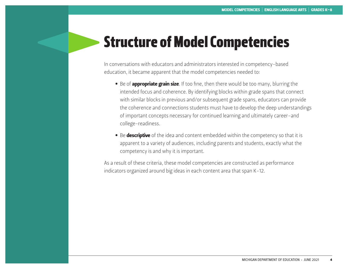### Structure of Model Competencies

In conversations with educators and administrators interested in competency-based education, it became apparent that the model competencies needed to:

- Be of **appropriate grain size**. If too fine, then there would be too many, blurring the intended focus and coherence. By identifying blocks within grade spans that connect with similar blocks in previous and/or subsequent grade spans, educators can provide the coherence and connections students must have to develop the deep understandings of important concepts necessary for continued learning and ultimately career-and college-readiness.
- Be descriptive of the idea and content embedded within the competency so that it is apparent to a variety of audiences, including parents and students, exactly what the competency is and why it is important.

As a result of these criteria, these model competencies are constructed as performance indicators organized around big ideas in each content area that span K-12.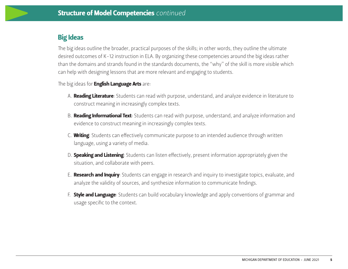#### Big Ideas

The big ideas outline the broader, practical purposes of the skills; in other words, they outline the ultimate desired outcomes of K-12 instruction in ELA. By organizing these competencies around the big ideas rather than the domains and strands found in the standards documents, the "why" of the skill is more visible which can help with designing lessons that are more relevant and engaging to students.

The big ideas for **English Language Arts** are:

- A. **Reading Literature**: Students can read with purpose, understand, and analyze evidence in literature to construct meaning in increasingly complex texts.
- B. **Reading Informational Text**: Students can read with purpose, understand, and analyze information and evidence to construct meaning in increasingly complex texts.
- C. Writing: Students can effectively communicate purpose to an intended audience through written language, using a variety of media.
- D. Speaking and Listening: Students can listen effectively, present information appropriately given the situation, and collaborate with peers.
- E. **Research and Inquiry**: Students can engage in research and inquiry to investigate topics, evaluate, and analyze the validity of sources, and synthesize information to communicate findings.
- F. Style and Language: Students can build vocabulary knowledge and apply conventions of grammar and usage specific to the context.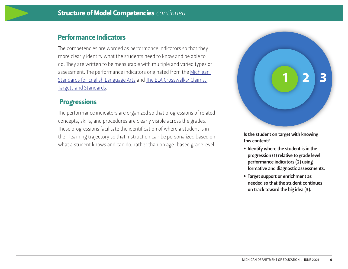#### Performance Indicators

The competencies are worded as performance indicators so that they more clearly identify what the students need to know and be able to do. They are written to be measurable with multiple and varied types of assessment. The performance indicators originated from the Michigan [Standards for English Language Arts](https://www.michigan.gov/documents/mde/MDE_ELA_Standards_599599_7.pdf) and [The ELA Crosswalks: Claims,](https://www.michigan.gov/mde/0,4615,7-140-22709_70117-364986--,00.html)  [Targets and Standards](https://www.michigan.gov/mde/0,4615,7-140-22709_70117-364986--,00.html).

#### **Progressions**

The performance indicators are organized so that progressions of related concepts, skills, and procedures are clearly visible across the grades. These progressions facilitate the identification of where a student is in their learning trajectory so that instruction can be personalized based on what a student knows and can do, rather than on age-based grade level.



Is the student on target with knowing this content?

- Identify where the student is in the progression (1) relative to grade level performance indicators (2) using formative and diagnostic assessments.
- Target support or enrichment as needed so that the student continues on track toward the big idea (3).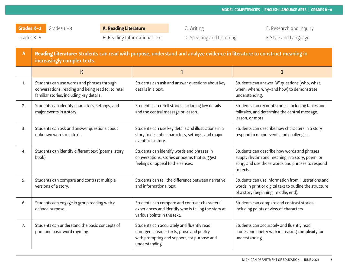Grades 3-5 Summan B. Reading Informational Text D. Speaking and Listening F. Style and Language

| $\mathbf{A}$ | Reading Literature: Students can read with purpose, understand and analyze evidence in literature to construct meaning in<br>increasingly complex texts. |                                                                                                                                                       |                                                                                                                                                                |  |  |
|--------------|----------------------------------------------------------------------------------------------------------------------------------------------------------|-------------------------------------------------------------------------------------------------------------------------------------------------------|----------------------------------------------------------------------------------------------------------------------------------------------------------------|--|--|
|              | $\mathsf K$                                                                                                                                              | 1                                                                                                                                                     | $\overline{2}$                                                                                                                                                 |  |  |
| 1.           | Students can use words and phrases through<br>conversations, reading and being read to, to retell<br>familiar stories, including key details.            | Students can ask and answer questions about key<br>details in a text.                                                                                 | Students can answer 'W' questions (who, what,<br>when, where, why-and how) to demonstrate<br>understanding.                                                    |  |  |
| 2.           | Students can identify characters, settings, and<br>major events in a story.                                                                              | Students can retell stories, including key details<br>and the central message or lesson.                                                              | Students can recount stories, including fables and<br>folktales, and determine the central message,<br>lesson, or moral.                                       |  |  |
| 3.           | Students can ask and answer questions about<br>unknown words in a text.                                                                                  | Students can use key details and illustrations in a<br>story to describe characters, settings, and major<br>events in a story.                        | Students can describe how characters in a story<br>respond to major events and challenges.                                                                     |  |  |
| 4.           | Students can identify different text (poems, story<br>book)                                                                                              | Students can identify words and phrases in<br>conversations, stories or poems that suggest<br>feelings or appeal to the senses.                       | Students can describe how words and phrases<br>supply rhythm and meaning in a story, poem, or<br>song, and use those words and phrases to respond<br>to texts. |  |  |
| 5.           | Students can compare and contrast multiple<br>versions of a story.                                                                                       | Students can tell the difference between narrative<br>and informational text.                                                                         | Students can use information from illustrations and<br>words in print or digital text to outline the structure<br>of a story (beginning, middle, end).         |  |  |
| 6.           | Students can engage in group reading with a<br>defined purpose.                                                                                          | Students can compare and contrast characters'<br>experiences and identify who is telling the story at<br>various points in the text.                  | Students can compare and contrast stories,<br>including points of view of characters.                                                                          |  |  |
| 7.           | Students can understand the basic concepts of<br>print and basic word rhyming.                                                                           | Students can accurately and fluently read<br>emergent-reader texts, prose and poetry<br>with prompting and support, for purpose and<br>understanding. | Students can accurately and fluently read<br>stories and poetry with increasing complexity for<br>understanding.                                               |  |  |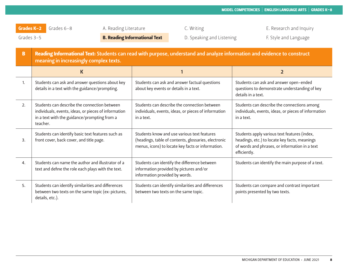Grades 3-5 **B. Reading Informational Text** D. Speaking and Listening F. Style and Language

| $\mathbf{B}$     | Reading Informational Text: Students can read with purpose, understand and analyze information and evidence to construct<br>meaning in increasingly complex texts. |                                                                                                                                                          |                                                                                                                                                                 |  |  |  |
|------------------|--------------------------------------------------------------------------------------------------------------------------------------------------------------------|----------------------------------------------------------------------------------------------------------------------------------------------------------|-----------------------------------------------------------------------------------------------------------------------------------------------------------------|--|--|--|
|                  | $\mathsf K$                                                                                                                                                        |                                                                                                                                                          | 2                                                                                                                                                               |  |  |  |
| 1.               | Students can ask and answer questions about key<br>details in a text with the guidance/prompting.                                                                  | Students can ask and answer factual questions<br>about key events or details in a text.                                                                  | Students can ask and answer open-ended<br>questions to demonstrate understanding of key<br>details in a text.                                                   |  |  |  |
| 2.               | Students can describe the connection between<br>individuals, events, ideas, or pieces of information<br>in a text with the guidance/prompting from a<br>teacher.   | Students can describe the connection between<br>individuals, events, ideas, or pieces of information<br>in a text.                                       | Students can describe the connections among<br>individuals, events, ideas, or pieces of information<br>in a text.                                               |  |  |  |
| 3.               | Students can identify basic text features such as<br>front cover, back cover, and title page.                                                                      | Students know and use various text features<br>(headings, table of contents, glossaries, electronic<br>menus, icons) to locate key facts or information. | Students apply various text features (index,<br>headings, etc.) to locate key facts, meanings<br>of words and phrases, or information in a text<br>efficiently. |  |  |  |
| $\overline{4}$ . | Students can name the author and illustrator of a<br>text and define the role each plays with the text.                                                            | Students can identify the difference between<br>information provided by pictures and/or<br>information provided by words.                                | Students can identify the main purpose of a text.                                                                                                               |  |  |  |
| 5.               | Students can identify similarities and differences<br>between two texts on the same topic (ex: pictures,<br>details, etc.).                                        | Students can identify similarities and differences<br>between two texts on the same topic.                                                               | Students can compare and contrast important<br>points presented by two texts.                                                                                   |  |  |  |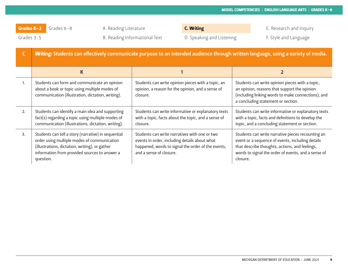Grades K-2 Grades 6-8 A. Reading Literature C. Writing C. The C. According Literature C. Writing E. Research and Inquiry

Grades 3-5 **B. Reading Informational Text** D. Speaking and Listening F. Style and Language **F. Style and Language** 

| . Writing |  |
|-----------|--|
|           |  |
|           |  |

|    | Writing: Students can effectively communicate purpose to an intended audience through written language, using a variety of media.                                                                                  |                                                                                                                                                                                 |                                                                                                                                                                                                                            |  |  |  |
|----|--------------------------------------------------------------------------------------------------------------------------------------------------------------------------------------------------------------------|---------------------------------------------------------------------------------------------------------------------------------------------------------------------------------|----------------------------------------------------------------------------------------------------------------------------------------------------------------------------------------------------------------------------|--|--|--|
|    | K                                                                                                                                                                                                                  |                                                                                                                                                                                 | $\mathbf{2}$                                                                                                                                                                                                               |  |  |  |
| 1. | Students can form and communicate an opinion<br>about a book or topic using multiple modes of<br>communication (illustration, dictation, writing).                                                                 | Students can write opinion pieces with a topic, an<br>opinion, a reason for the opinion, and a sense of<br>closure.                                                             | Students can write opinion pieces with a topic,<br>an opinion, reasons that support the opinion<br>(including linking words to make connections), and<br>a concluding statement or section.                                |  |  |  |
| 2. | Students can identify a main idea and supporting<br>fact(s) regarding a topic using multiple modes of<br>communication (illustrations, dictation, writing).                                                        | Students can write informative or explanatory texts<br>with a topic, facts about the topic, and a sense of<br>closure.                                                          | Students can write informative or explanatory texts<br>with a topic, facts and definitions to develop the<br>topic, and a concluding statement or section.                                                                 |  |  |  |
| 3. | Students can tell a story (narrative) in sequential<br>order using multiple modes of communication<br>(illustrations, dictation, writing), or gather<br>information from provided sources to answer a<br>question. | Students can write narratives with one or two<br>events in order, including details about what<br>happened, words to signal the order of the events,<br>and a sense of closure. | Students can write narrative pieces recounting an<br>event or a sequence of events, including details<br>that describe thoughts, actions, and feelings,<br>words to signal the order of events, and a sense of<br>closure. |  |  |  |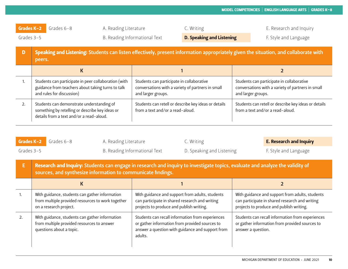| Grades K-2<br>Grades 3-5 |                                                                                                                                                | Grades $6 - 8$                                                                                                                           | A. Reading Literature | B. Reading Informational Text                                                                                        | C. Writing<br><b>D. Speaking and Listening</b> |                    | E. Research and Inquiry<br>F. Style and Language                                               |
|--------------------------|------------------------------------------------------------------------------------------------------------------------------------------------|------------------------------------------------------------------------------------------------------------------------------------------|-----------------------|----------------------------------------------------------------------------------------------------------------------|------------------------------------------------|--------------------|------------------------------------------------------------------------------------------------|
| D                        | Speaking and Listening: Students can listen effectively, present information appropriately given the situation, and collaborate with<br>peers. |                                                                                                                                          |                       |                                                                                                                      |                                                |                    |                                                                                                |
|                          |                                                                                                                                                | K                                                                                                                                        |                       |                                                                                                                      |                                                |                    |                                                                                                |
| ъ.                       |                                                                                                                                                | Students can participate in peer collaboration (with<br>guidance from teachers about taking turns to talk<br>and rules for discussion)   |                       | Students can participate in collaborative<br>conversations with a variety of partners in small<br>and larger groups. |                                                | and larger groups. | Students can participate in collaborative<br>conversations with a variety of partners in small |
| 2.                       |                                                                                                                                                | Students can demonstrate understanding of<br>something by retelling or describe key ideas or<br>details from a text and/or a read-aloud. |                       | Students can retell or describe key ideas or details<br>from a text and/or a read-aloud.                             |                                                |                    | Students can retell or describe key ideas or details<br>from a text and/or a read-aloud.       |

| Grades K-2    | Grades 6-8                                                                                                                                                                                    | A. Reading Literature |                                                                                                                                                                   | C. Writing                |                    | <b>E. Research and Inquiry</b>                                                                                                                |
|---------------|-----------------------------------------------------------------------------------------------------------------------------------------------------------------------------------------------|-----------------------|-------------------------------------------------------------------------------------------------------------------------------------------------------------------|---------------------------|--------------------|-----------------------------------------------------------------------------------------------------------------------------------------------|
| Grades $3-5$  |                                                                                                                                                                                               |                       | B. Reading Informational Text                                                                                                                                     | D. Speaking and Listening |                    | F. Style and Language                                                                                                                         |
| E,            | Research and Inquiry: Students can engage in research and inquiry to investigate topics, evaluate and analyze the validity of<br>sources, and synthesize information to communicate findings. |                       |                                                                                                                                                                   |                           |                    |                                                                                                                                               |
|               | K                                                                                                                                                                                             |                       |                                                                                                                                                                   |                           |                    |                                                                                                                                               |
|               | With guidance, students can gather information<br>from multiple provided resources to work together<br>on a research project.                                                                 |                       | With guidance and support from adults, students<br>can participate in shared research and writing<br>projects to produce and publish writing.                     |                           |                    | With guidance and support from adults, students<br>can participate in shared research and writing<br>projects to produce and publish writing. |
| $\mathcal{L}$ | With guidance, students can gather information<br>from multiple provided resources to answer<br>questions about a topic.                                                                      |                       | Students can recall information from experiences<br>or gather information from provided sources to<br>answer a question with guidance and support from<br>adults. |                           | answer a question. | Students can recall information from experiences<br>or gather information from provided sources to                                            |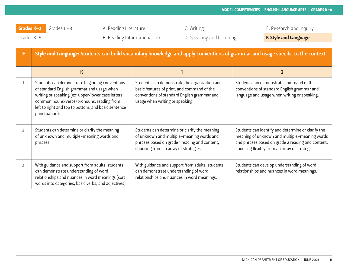| F              | Style and Language: Students can build vocabulary knowledge and apply conventions of grammar and usage specific to the context.                                                                                                                                         |                                                                                                                                                                                      |                                                                                                                                                                                                            |  |  |  |
|----------------|-------------------------------------------------------------------------------------------------------------------------------------------------------------------------------------------------------------------------------------------------------------------------|--------------------------------------------------------------------------------------------------------------------------------------------------------------------------------------|------------------------------------------------------------------------------------------------------------------------------------------------------------------------------------------------------------|--|--|--|
|                | K                                                                                                                                                                                                                                                                       |                                                                                                                                                                                      | $\overline{2}$                                                                                                                                                                                             |  |  |  |
| $\mathbf{1}$ . | Students can demonstrate beginning conventions<br>of standard English grammar and usage when<br>writing or speaking (ex: upper/lower case letters,<br>common nouns/verbs/pronouns, reading from<br>left to right and top to bottom, and basic sentence<br>punctuation). | Students can demonstrate the organization and<br>basic features of print, and command of the<br>conventions of standard English grammar and<br>usage when writing or speaking.       | Students can demonstrate command of the<br>conventions of standard English grammar and<br>language and usage when writing or speaking.                                                                     |  |  |  |
| 2.             | Students can determine or clarify the meaning<br>of unknown and multiple-meaning words and<br>phrases.                                                                                                                                                                  | Students can determine or clarify the meaning<br>of unknown and multiple-meaning words and<br>phrases based on grade 1 reading and content,<br>choosing from an array of strategies. | Students can identify and determine or clarify the<br>meaning of unknown and multiple-meaning words<br>and phrases based on grade 2 reading and content,<br>choosing flexibly from an array of strategies. |  |  |  |
| 3.             | With guidance and support from adults, students<br>can demonstrate understanding of word<br>relationships and nuances in word meanings (sort<br>words into categories, basic verbs, and adjectives).                                                                    | With guidance and support from adults, students<br>can demonstrate understanding of word<br>relationships and nuances in word meanings.                                              | Students can develop understanding of word<br>relationships and nuances in word meanings.                                                                                                                  |  |  |  |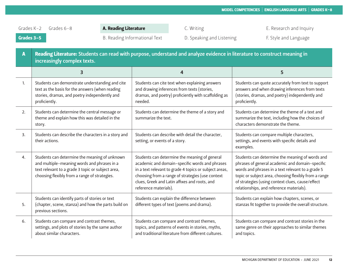| A  | Reading Literature: Students can read with purpose, understand and analyze evidence in literature to construct meaning in<br>increasingly complex texts.                                           |                                                                                                                                                                                                                                                                                         |                                                                                                                                                                                                                                                                                                                  |  |  |  |
|----|----------------------------------------------------------------------------------------------------------------------------------------------------------------------------------------------------|-----------------------------------------------------------------------------------------------------------------------------------------------------------------------------------------------------------------------------------------------------------------------------------------|------------------------------------------------------------------------------------------------------------------------------------------------------------------------------------------------------------------------------------------------------------------------------------------------------------------|--|--|--|
|    | 3                                                                                                                                                                                                  | 4                                                                                                                                                                                                                                                                                       | 5                                                                                                                                                                                                                                                                                                                |  |  |  |
| 1. | Students can demonstrate understanding and cite<br>text as the basis for the answers (when reading<br>stories, dramas, and poetry independently and<br>proficiently.                               | Students can cite text when explaining answers<br>and drawing inferences from texts (stories,<br>dramas, and poetry) proficiently with scaffolding as<br>needed.                                                                                                                        | Students can quote accurately from text to support<br>answers and when drawing inferences from texts<br>(stories, dramas, and poetry) independently and<br>proficiently.                                                                                                                                         |  |  |  |
| 2. | Students can determine the central message or<br>theme and explain how this was detailed in the<br>story.                                                                                          | Students can determine the theme of a story and<br>summarize the text.                                                                                                                                                                                                                  | Students can determine the theme of a text and<br>summarize the text, including how the choices of<br>characters demonstrate the theme.                                                                                                                                                                          |  |  |  |
| 3. | Students can describe the characters in a story and<br>their actions.                                                                                                                              | Students can describe with detail the character,<br>setting, or events of a story.                                                                                                                                                                                                      | Students can compare multiple characters,<br>settings, and events with specific details and<br>examples.                                                                                                                                                                                                         |  |  |  |
| 4. | Students can determine the meaning of unknown<br>and multiple-meaning words and phrases in a<br>text relevant to a grade 3 topic or subject area,<br>choosing flexibly from a range of strategies. | Students can determine the meaning of general<br>academic and domain-specific words and phrases<br>in a text relevant to grade 4 topics or subject areas,<br>choosing from a range of strategies (use context<br>clues, Greek and Latin affixes and roots, and<br>reference materials). | Students can determine the meaning of words and<br>phrases of general academic and domain-specific<br>words and phrases in a text relevant to a grade 5<br>topic or subject area, choosing flexibly from a range<br>of strategies (using context clues, cause/effect<br>relationships, and reference materials). |  |  |  |
| 5. | Students can identify parts of stories or text<br>(chapter, scene, stanza) and how the parts build on<br>previous sections.                                                                        | Students can explain the difference between<br>different types of text (poems and drama).                                                                                                                                                                                               | Students can explain how chapters, scenes, or<br>stanzas fit together to provide the overall structure.                                                                                                                                                                                                          |  |  |  |
| 6. | Students can compare and contrast themes,<br>settings, and plots of stories by the same author<br>about similar characters.                                                                        | Students can compare and contrast themes,<br>topics, and patterns of events in stories, myths,<br>and traditional literature from different cultures.                                                                                                                                   | Students can compare and contrast stories in the<br>same genre on their approaches to similar themes<br>and topics.                                                                                                                                                                                              |  |  |  |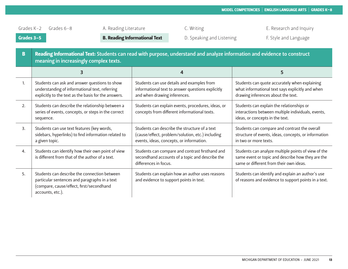| $\mathbf{B}$ | Reading Informational Text: Students can read with purpose, understand and analyze information and evidence to construct<br>meaning in increasingly complex texts. |                                                                                                                                               |                                                                                                                                                     |  |  |  |
|--------------|--------------------------------------------------------------------------------------------------------------------------------------------------------------------|-----------------------------------------------------------------------------------------------------------------------------------------------|-----------------------------------------------------------------------------------------------------------------------------------------------------|--|--|--|
|              | 3                                                                                                                                                                  | 4                                                                                                                                             | 5                                                                                                                                                   |  |  |  |
| 1.           | Students can ask and answer questions to show<br>understanding of informational text, referring<br>explicitly to the text as the basis for the answers.            | Students can use details and examples from<br>informational text to answer questions explicitly<br>and when drawing inferences.               | Students can quote accurately when explaining<br>what informational text says explicitly and when<br>drawing inferences about the text.             |  |  |  |
| 2.           | Students can describe the relationship between a<br>series of events, concepts, or steps in the correct<br>sequence.                                               | Students can explain events, procedures, ideas, or<br>concepts from different informational texts.                                            | Students can explain the relationships or<br>interactions between multiple individuals, events,<br>ideas, or concepts in the text.                  |  |  |  |
| 3.           | Students can use text features (key words,<br>sidebars, hyperlinks) to find information related to<br>a given topic.                                               | Students can describe the structure of a text<br>(cause/effect, problem/solution, etc.) including<br>events, ideas, concepts, or information. | Students can compare and contrast the overall<br>structure of events, ideas, concepts, or information<br>in two or more texts.                      |  |  |  |
| 4.           | Students can identify how their own point of view<br>is different from that of the author of a text.                                                               | Students can compare and contrast firsthand and<br>secondhand accounts of a topic and describe the<br>differences in focus.                   | Students can analyze multiple points of view of the<br>same event or topic and describe how they are the<br>same or different from their own ideas. |  |  |  |
| 5.           | Students can describe the connection between<br>particular sentences and paragraphs in a text<br>(compare, cause/effect, first/secondhand<br>accounts, etc.).      | Students can explain how an author uses reasons<br>and evidence to support points in text.                                                    | Students can identify and explain an author's use<br>of reasons and evidence to support points in a text.                                           |  |  |  |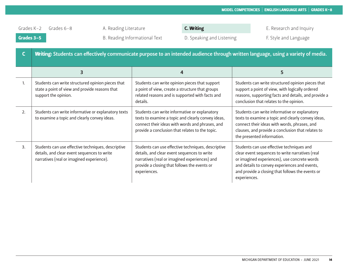Grades 3-5 B. Reading Informational Text D. Speaking and Listening F. Style and Language

| C. Writing |  |
|------------|--|
|            |  |

Grades K-2 Grades 6-8 A. Reading Literature **C. Writing C. E. Access A. Research and Inquiry** 

|    | Writing: Students can effectively communicate purpose to an intended audience through written language, using a variety of media.              |                                                                                                                                                                                                                    |                                                                                                                                                                                                                                                                   |  |  |  |
|----|------------------------------------------------------------------------------------------------------------------------------------------------|--------------------------------------------------------------------------------------------------------------------------------------------------------------------------------------------------------------------|-------------------------------------------------------------------------------------------------------------------------------------------------------------------------------------------------------------------------------------------------------------------|--|--|--|
|    | 3                                                                                                                                              | 4                                                                                                                                                                                                                  | 5                                                                                                                                                                                                                                                                 |  |  |  |
| 1. | Students can write structured opinion pieces that<br>state a point of view and provide reasons that<br>support the opinion.                    | Students can write opinion pieces that support<br>a point of view, create a structure that groups<br>related reasons and is supported with facts and<br>details.                                                   | Students can write structured opinion pieces that<br>support a point of view, with logically ordered<br>reasons, supporting facts and details, and provide a<br>conclusion that relates to the opinion.                                                           |  |  |  |
| 2. | Students can write informative or explanatory texts<br>to examine a topic and clearly convey ideas.                                            | Students can write informative or explanatory<br>texts to examine a topic and clearly convey ideas,<br>connect their ideas with words and phrases, and<br>provide a conclusion that relates to the topic.          | Students can write informative or explanatory<br>texts to examine a topic and clearly convey ideas,<br>connect their ideas with words, phrases, and<br>clauses, and provide a conclusion that relates to<br>the presented information.                            |  |  |  |
| 3. | Students can use effective techniques, descriptive<br>details, and clear event sequences to write<br>narratives (real or imagined experience). | Students can use effective techniques, descriptive<br>details, and clear event sequences to write<br>narratives (real or imagined experiences) and<br>provide a closing that follows the events or<br>experiences. | Students can use effective techniques and<br>clear event sequences to write narratives (real<br>or imagined experiences), use concrete words<br>and details to convey experiences and events,<br>and provide a closing that follows the events or<br>experiences. |  |  |  |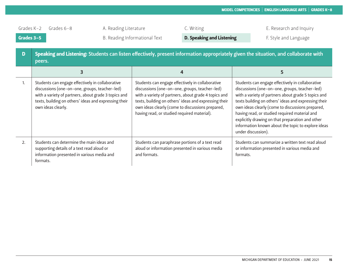| D  | Speaking and Listening: Students can listen effectively, present information appropriately given the situation, and collaborate with<br>peers.                                                                                           |                                                                                                                                                                                                                                                                                                                       |                                                                                                                                                                                                                                                                                                                                                                                                                                                       |  |  |  |
|----|------------------------------------------------------------------------------------------------------------------------------------------------------------------------------------------------------------------------------------------|-----------------------------------------------------------------------------------------------------------------------------------------------------------------------------------------------------------------------------------------------------------------------------------------------------------------------|-------------------------------------------------------------------------------------------------------------------------------------------------------------------------------------------------------------------------------------------------------------------------------------------------------------------------------------------------------------------------------------------------------------------------------------------------------|--|--|--|
|    |                                                                                                                                                                                                                                          | 4                                                                                                                                                                                                                                                                                                                     |                                                                                                                                                                                                                                                                                                                                                                                                                                                       |  |  |  |
| 1. | Students can engage effectively in collaborative<br>discussions (one-on-one, groups, teacher-led)<br>with a variety of partners, about grade 3 topics and<br>texts, building on others' ideas and expressing their<br>own ideas clearly. | Students can engage effectively in collaborative<br>discussions (one-on-one, groups, teacher-led)<br>with a variety of partners, about grade 4 topics and<br>texts, building on others' ideas and expressing their<br>own ideas clearly (come to discussions prepared,<br>having read, or studied required material). | Students can engage effectively in collaborative<br>discussions (one-on-one, groups, teacher-led)<br>with a variety of partners about grade 5 topics and<br>texts building on others' ideas and expressing their<br>own ideas clearly (come to discussions prepared,<br>having read, or studied required material and<br>explicitly drawing on that preparation and other<br>information known about the topic to explore ideas<br>under discussion). |  |  |  |
| 2. | Students can determine the main ideas and<br>supporting details of a text read aloud or<br>information presented in various media and<br>formats.                                                                                        | Students can paraphrase portions of a text read<br>aloud or information presented in various media<br>and formats.                                                                                                                                                                                                    | Students can summarize a written text read aloud<br>or information presented in various media and<br>formats.                                                                                                                                                                                                                                                                                                                                         |  |  |  |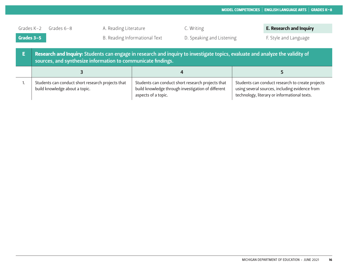| Grades $K-2$ | Grades $6 - 8$                                                                                                                                                                                | A. Reading Literature         | C. Writing                                                                                                                     | <b>E. Research and Inquiry</b>                                                                                                                     |
|--------------|-----------------------------------------------------------------------------------------------------------------------------------------------------------------------------------------------|-------------------------------|--------------------------------------------------------------------------------------------------------------------------------|----------------------------------------------------------------------------------------------------------------------------------------------------|
| Grades 3-5   |                                                                                                                                                                                               | B. Reading Informational Text | D. Speaking and Listening                                                                                                      | F. Style and Language                                                                                                                              |
| 高            | Research and Inquiry: Students can engage in research and inquiry to investigate topics, evaluate and analyze the validity of<br>sources, and synthesize information to communicate findings. |                               |                                                                                                                                |                                                                                                                                                    |
|              |                                                                                                                                                                                               |                               |                                                                                                                                |                                                                                                                                                    |
|              | Students can conduct short research projects that<br>build knowledge about a topic.                                                                                                           |                               | Students can conduct short research projects that<br>build knowledge through investigation of different<br>aspects of a topic. | Students can conduct research to create projects<br>using several sources, including evidence from<br>technology, literary or informational texts. |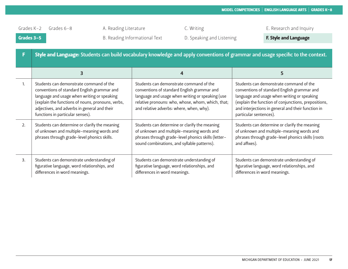| F                | Style and Language: Students can build vocabulary knowledge and apply conventions of grammar and usage specific to the context.                                                                                                                                                |                                                                                                                                                                                                                                             |                                                                                                                                                                                                                                                                               |  |
|------------------|--------------------------------------------------------------------------------------------------------------------------------------------------------------------------------------------------------------------------------------------------------------------------------|---------------------------------------------------------------------------------------------------------------------------------------------------------------------------------------------------------------------------------------------|-------------------------------------------------------------------------------------------------------------------------------------------------------------------------------------------------------------------------------------------------------------------------------|--|
|                  |                                                                                                                                                                                                                                                                                | 4                                                                                                                                                                                                                                           | 5                                                                                                                                                                                                                                                                             |  |
| 1.               | Students can demonstrate command of the<br>conventions of standard English grammar and<br>language and usage when writing or speaking<br>(explain the functions of nouns, pronouns, verbs,<br>adjectives, and adverbs in general and their<br>functions in particular senses). | Students can demonstrate command of the<br>conventions of standard English grammar and<br>language and usage when writing or speaking (use<br>relative pronouns: who, whose, whom, which, that;<br>and relative adverbs: where, when, why). | Students can demonstrate command of the<br>conventions of standard English grammar and<br>language and usage when writing or speaking<br>(explain the function of conjunctions, prepositions,<br>and interjections in general and their function in<br>particular sentences). |  |
| 2.               | Students can determine or clarify the meaning<br>of unknown and multiple-meaning words and<br>phrases through grade-level phonics skills.                                                                                                                                      | Students can determine or clarify the meaning<br>of unknown and multiple-meaning words and<br>phrases through grade-level phonics skills (letter-<br>sound combinations, and syllable patterns).                                            | Students can determine or clarify the meaning<br>of unknown and multiple-meaning words and<br>phrases through grade-level phonics skills (roots<br>and affixes).                                                                                                              |  |
| $\overline{3}$ . | Students can demonstrate understanding of<br>figurative language, word relationships, and<br>differences in word meanings.                                                                                                                                                     | Students can demonstrate understanding of<br>figurative language, word relationships, and<br>differences in word meanings.                                                                                                                  | Students can demonstrate understanding of<br>figurative language, word relationships, and<br>differences in word meanings.                                                                                                                                                    |  |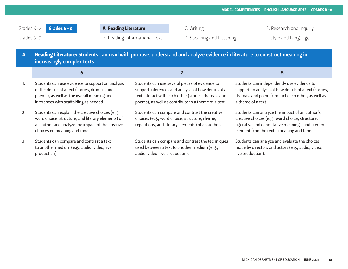Grades 3-5 **B. Reading Informational Text** D. Speaking and Listening F. Style and Language **F. Style and Language** 

| A  | Reading Literature: Students can read with purpose, understand and analyze evidence in literature to construct meaning in<br>increasingly complex texts.                                   |                                                                                                                                                                                                                     |                                                                                                                                                                                                     |  |
|----|--------------------------------------------------------------------------------------------------------------------------------------------------------------------------------------------|---------------------------------------------------------------------------------------------------------------------------------------------------------------------------------------------------------------------|-----------------------------------------------------------------------------------------------------------------------------------------------------------------------------------------------------|--|
|    |                                                                                                                                                                                            |                                                                                                                                                                                                                     | 8                                                                                                                                                                                                   |  |
| 1. | Students can use evidence to support an analysis<br>of the details of a text (stories, dramas, and<br>poems), as well as the overall meaning and<br>inferences with scaffolding as needed. | Students can use several pieces of evidence to<br>support inferences and analysis of how details of a<br>text interact with each other (stories, dramas, and<br>poems), as well as contribute to a theme of a text. | Students can independently use evidence to<br>support an analysis of how details of a text (stories,<br>dramas, and poems) impact each other, as well as<br>a theme of a text.                      |  |
| 2. | Students can explain the creative choices (e.g.,<br>word choice, structure, and literary elements) of<br>an author and analyze the impact of the creative<br>choices on meaning and tone.  | Students can compare and contrast the creative<br>choices (e.g., word choice, structure, rhyme,<br>repetitions, and literary elements) of an author.                                                                | Students can analyze the impact of an author's<br>creative choices (e.g., word choice, structure,<br>figurative and connotative meanings, and literary<br>elements) on the text's meaning and tone. |  |
| 3. | Students can compare and contrast a text<br>to another medium (e.g., audio, video, live<br>production).                                                                                    | Students can compare and contrast the techniques<br>used between a text to another medium (e.g.,<br>audio, video, live production).                                                                                 | Students can analyze and evaluate the choices<br>made by directors and actors (e.g., audio, video,<br>live production).                                                                             |  |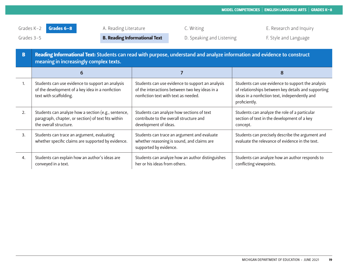Grades 3-5 **B. Reading Informational Text** D. Speaking and Listening F. Style and Language

| B  | Reading Informational Text: Students can read with purpose, understand and analyze information and evidence to construct<br>meaning in increasingly complex texts. |                                                                                                                                            |                                                                                                                                                                            |  |
|----|--------------------------------------------------------------------------------------------------------------------------------------------------------------------|--------------------------------------------------------------------------------------------------------------------------------------------|----------------------------------------------------------------------------------------------------------------------------------------------------------------------------|--|
|    | 6                                                                                                                                                                  |                                                                                                                                            | 8                                                                                                                                                                          |  |
| 1. | Students can use evidence to support an analysis<br>of the development of a key idea in a nonfiction<br>text with scaffolding.                                     | Students can use evidence to support an analysis<br>of the interactions between two key ideas in a<br>nonfiction text with text as needed. | Students can use evidence to support the analysis<br>of relationships between key details and supporting<br>ideas in a nonfiction text, independently and<br>proficiently. |  |
| 2. | Students can analyze how a section (e.g., sentence,<br>paragraph, chapter, or section) of text fits within<br>the overall structure.                               | Students can analyze how sections of text<br>contribute to the overall structure and<br>development of ideas.                              | Students can analyze the role of a particular<br>section of text in the development of a key<br>concept.                                                                   |  |
| 3. | Students can trace an argument, evaluating<br>whether specific claims are supported by evidence.                                                                   | Students can trace an argument and evaluate<br>whether reasoning is sound, and claims are<br>supported by evidence.                        | Students can precisely describe the argument and<br>evaluate the relevance of evidence in the text.                                                                        |  |
| 4. | Students can explain how an author's ideas are<br>conveyed in a text.                                                                                              | Students can analyze how an author distinguishes<br>her or his ideas from others.                                                          | Students can analyze how an author responds to<br>conflicting viewpoints.                                                                                                  |  |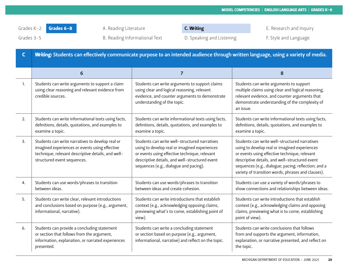Grades 3-5 **B. Reading Informational Text** D. Speaking and Listening F. Style and Language **F. Style and Language** 

| C. Writing |  |  |  |  |  |
|------------|--|--|--|--|--|
|------------|--|--|--|--|--|

| $\mathsf{C}$ | Writing: Students can effectively communicate purpose to an intended audience through written language, using a variety of media.                                                       |                                                                                                                                                                                                                                             |                                                                                                                                                                                                                                                                                                                 |  |
|--------------|-----------------------------------------------------------------------------------------------------------------------------------------------------------------------------------------|---------------------------------------------------------------------------------------------------------------------------------------------------------------------------------------------------------------------------------------------|-----------------------------------------------------------------------------------------------------------------------------------------------------------------------------------------------------------------------------------------------------------------------------------------------------------------|--|
|              | 6                                                                                                                                                                                       | $\overline{7}$                                                                                                                                                                                                                              | 8                                                                                                                                                                                                                                                                                                               |  |
| 1.           | Students can write arguments to support a claim<br>using clear reasoning and relevant evidence from<br>credible sources.                                                                | Students can write arguments to support claims<br>using clear and logical reasoning, relevant<br>evidence, and counter arguments to demonstrate<br>understanding of the topic.                                                              | Students can write arguments to support<br>multiple claims using clear and logical reasoning,<br>relevant evidence, and counter arguments that<br>demonstrate understanding of the complexity of<br>an issue.                                                                                                   |  |
| 2.           | Students can write informational texts using facts,<br>definitions, details, quotations, and examples to<br>examine a topic.                                                            | Students can write informational texts using facts,<br>definitions, details, quotations, and examples to<br>examine a topic.                                                                                                                | Students can write informational texts using facts,<br>definitions, details, quotations, and examples to<br>examine a topic.                                                                                                                                                                                    |  |
| 3.           | Students can write narratives to develop real or<br>imagined experiences or events using effective<br>technique, relevant descriptive details, and well-<br>structured event sequences. | Students can write well-structured narratives<br>using to develop real or imagined experiences<br>or events using effective technique, relevant<br>descriptive details, and well-structured event<br>sequences (e.g., dialogue and pacing). | Students can write well-structured narratives<br>using to develop real or imagined experiences<br>or events using effective technique, relevant<br>descriptive details, and well-structured event<br>sequences (e.g., dialogue; pacing; reflection; and a<br>variety of transition words, phrases and clauses). |  |
| 4.           | Students can use words/phrases to transition<br>between ideas.                                                                                                                          | Students can use words/phrases to transition<br>between ideas and create cohesion.                                                                                                                                                          | Students can use a variety of words/phrases to<br>show connections and relationships between ideas.                                                                                                                                                                                                             |  |
| 5.           | Students can write clear, relevant introductions<br>and conclusions based on purpose (e.g., argument,<br>informational, narrative).                                                     | Students can write introductions that establish<br>context (e.g., acknowledging opposing claims,<br>previewing what's to come, establishing point of<br>view).                                                                              | Students can write introductions that establish<br>context (e.g., acknowledging claims and opposing<br>claims, previewing what is to come, establishing<br>point of view).                                                                                                                                      |  |
| 6.           | Students can provide a concluding statement<br>or section that follows from the argument,<br>information, explanation, or narrated experiences<br>presented.                            | Students can write a concluding statement<br>or section based on purpose (e.g., argument,<br>informational, narrative) and reflect on the topic.                                                                                            | Students can write conclusions that follows<br>from and supports the argument, information,<br>explanation, or narrative presented, and reflect on<br>the topic.                                                                                                                                                |  |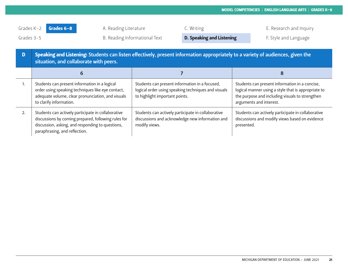- 
- Grades 3-5 **B. Reading Informational Text D. Speaking and Listening** F. Style and Language

|    | Speaking and Listening: Students can listen effectively, present information appropriately to a variety of audiences, given the<br>situation, and collaborate with peers.                      |                                                                                                                                         |                                                                                                                                                                                     |  |
|----|------------------------------------------------------------------------------------------------------------------------------------------------------------------------------------------------|-----------------------------------------------------------------------------------------------------------------------------------------|-------------------------------------------------------------------------------------------------------------------------------------------------------------------------------------|--|
|    |                                                                                                                                                                                                |                                                                                                                                         | 8                                                                                                                                                                                   |  |
|    | Students can present information in a logical<br>order using speaking techniques like eye contact,<br>adequate volume, clear pronunciation, and visuals<br>to clarify information.             | Students can present information in a focused,<br>logical order using speaking techniques and visuals<br>to highlight important points. | Students can present information in a concise,<br>logical manner using a style that is appropriate to<br>the purpose and including visuals to strengthen<br>arguments and interest. |  |
| 2. | Students can actively participate in collaborative<br>discussions by coming prepared, following rules for<br>discussion, asking, and responding to questions,<br>paraphrasing, and reflection. | Students can actively participate in collaborative<br>discussions and acknowledge new information and<br>modify views.                  | Students can actively participate in collaborative<br>discussions and modify views based on evidence<br>presented.                                                                  |  |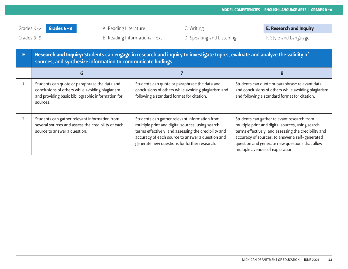Grades 3-5 **B. Reading Informational Text** D. Speaking and Listening F. Style and Language **F. Style and Language** 

| E  | Research and Inquiry: Students can engage in research and inquiry to investigate topics, evaluate and analyze the validity of<br>sources, and synthesize information to communicate findings. |                                                                                                                                                                                                                                                               |                                                                                                                                                                                                                                                                                                 |  |
|----|-----------------------------------------------------------------------------------------------------------------------------------------------------------------------------------------------|---------------------------------------------------------------------------------------------------------------------------------------------------------------------------------------------------------------------------------------------------------------|-------------------------------------------------------------------------------------------------------------------------------------------------------------------------------------------------------------------------------------------------------------------------------------------------|--|
|    | 6                                                                                                                                                                                             |                                                                                                                                                                                                                                                               | 8                                                                                                                                                                                                                                                                                               |  |
| 1. | Students can quote or paraphrase the data and<br>conclusions of others while avoiding plagiarism<br>and providing basic bibliographic information for<br>sources.                             | Students can quote or paraphrase the data and<br>conclusions of others while avoiding plagiarism and<br>following a standard format for citation.                                                                                                             | Students can quote or paraphrase relevant data<br>and conclusions of others while avoiding plagiarism<br>and following a standard format for citation.                                                                                                                                          |  |
| 2. | Students can gather relevant information from<br>several sources and assess the credibility of each<br>source to answer a question.                                                           | Students can gather relevant information from<br>multiple print and digital sources, using search<br>terms effectively, and assessing the credibility and<br>accuracy of each source to answer a question and<br>generate new questions for further research. | Students can gather relevant research from<br>multiple print and digital sources, using search<br>terms effectively, and assessing the credibility and<br>accuracy of sources, to answer a self-generated<br>question and generate new questions that allow<br>multiple avenues of exploration. |  |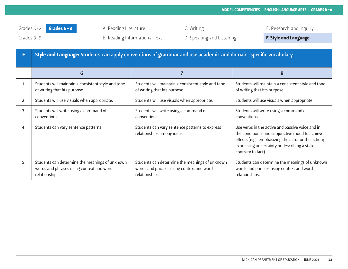|    | Style and Language: Students can apply conventions of grammar and use academic and domain-specific vocabulary. |                                                                                                              |                                                                                                                                                                                                                                  |  |
|----|----------------------------------------------------------------------------------------------------------------|--------------------------------------------------------------------------------------------------------------|----------------------------------------------------------------------------------------------------------------------------------------------------------------------------------------------------------------------------------|--|
|    | 6                                                                                                              |                                                                                                              | 8                                                                                                                                                                                                                                |  |
| 1. | Students will maintain a consistent style and tone<br>of writing that fits purpose.                            | Students will maintain a consistent style and tone<br>of writing that fits purpose.                          | Students will maintain a consistent style and tone<br>of writing that fits purpose.                                                                                                                                              |  |
| 2. | Students will use visuals when appropriate.                                                                    | Students will use visuals when appropriate                                                                   | Students will use visuals when appropriate.                                                                                                                                                                                      |  |
| 3. | Students will write using a command of<br>conventions.                                                         | Students will write using a command of<br>conventions.                                                       | Students will write using a command of<br>conventions.                                                                                                                                                                           |  |
| 4. | Students can vary sentence patterns.                                                                           | Students can vary sentence patterns to express<br>relationships among ideas.                                 | Use verbs in the active and passive voice and in<br>the conditional and subjunctive mood to achieve<br>effects (e.g., emphasizing the actor or the action;<br>expressing uncertainty or describing a state<br>contrary to fact). |  |
| 5. | Students can determine the meanings of unknown<br>words and phrases using context and word<br>relationships.   | Students can determine the meanings of unknown<br>words and phrases using context and word<br>relationships. | Students can determine the meanings of unknown<br>words and phrases using context and word<br>relationships.                                                                                                                     |  |